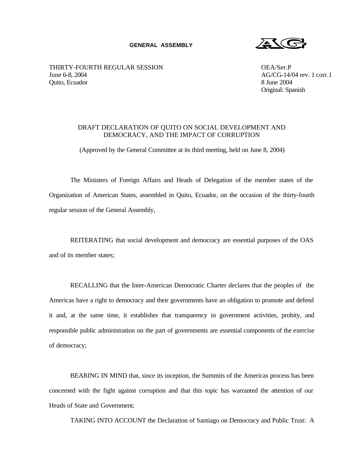## **GENERAL ASSEMBLY**

 $25C$ 

THIRTY-FOURTH REGULAR SESSION OEA/Ser.P June 6-8, 2004 AG/CG-14/04 rev. 1 corr.1 Quito, Ecuador 8 June 2004

Original: Spanish

## DRAFT DECLARATION OF QUITO ON SOCIAL DEVELOPMENT AND DEMOCRACY, AND THE IMPACT OF CORRUPTION

(Approved by the General Committee at its third meeting, held on June 8, 2004)

The Ministers of Foreign Affairs and Heads of Delegation of the member states of the Organization of American States, assembled in Quito, Ecuador, on the occasion of the thirty-fourth regular session of the General Assembly,

REITERATING that social development and democracy are essential purposes of the OAS and of its member states;

RECALLING that the Inter-American Democratic Charter declares that the peoples of the Americas have a right to democracy and their governments have an obligation to promote and defend it and, at the same time, it establishes that transparency in government activities, probity, and responsible public administration on the part of governments are essential components of the exercise of democracy;

BEARING IN MIND that, since its inception, the Summits of the Americas process has been concerned with the fight against corruption and that this topic has warranted the attention of our Heads of State and Government;

TAKING INTO ACCOUNT the Declaration of Santiago on Democracy and Public Trust: A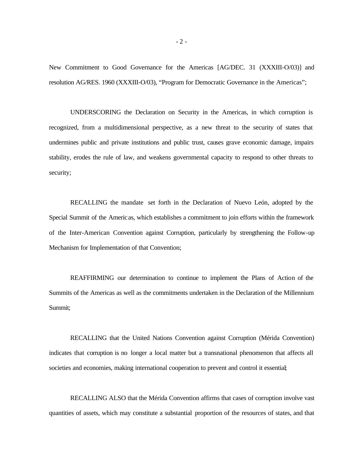New Commitment to Good Governance for the Americas [AG/DEC. 31 (XXXIII-O/03)] and resolution AG/RES. 1960 (XXXIII-O/03), "Program for Democratic Governance in the Americas";

UNDERSCORING the Declaration on Security in the Americas, in which corruption is recognized, from a multidimensional perspective, as a new threat to the security of states that undermines public and private institutions and public trust, causes grave economic damage, impairs stability, erodes the rule of law, and weakens governmental capacity to respond to other threats to security;

RECALLING the mandate set forth in the Declaration of Nuevo León, adopted by the Special Summit of the Americas, which establishes a commitment to join efforts within the framework of the Inter-American Convention against Corruption, particularly by strengthening the Follow-up Mechanism for Implementation of that Convention;

REAFFIRMING our determination to continue to implement the Plans of Action of the Summits of the Americas as well as the commitments undertaken in the Declaration of the Millennium Summit;

RECALLING that the United Nations Convention against Corruption (Mérida Convention) indicates that corruption is no longer a local matter but a transnational phenomenon that affects all societies and economies, making international cooperation to prevent and control it essential;

RECALLING ALSO that the Mérida Convention affirms that cases of corruption involve vast quantities of assets, which may constitute a substantial proportion of the resources of states, and that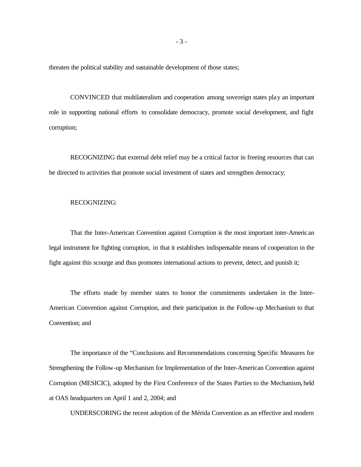threaten the political stability and sustainable development of those states;

CONVINCED that multilateralism and cooperation among sovereign states play an important role in supporting national efforts to consolidate democracy, promote social development, and fight corruption;

RECOGNIZING that external debt relief may be a critical factor in freeing resources that can be directed to activities that promote social investment of states and strengthen democracy;

## RECOGNIZING:

That the Inter-American Convention against Corruption is the most important inter-American legal instrument for fighting corruption, in that it establishes indispensable means of cooperation in the fight against this scourge and thus promotes international actions to prevent, detect, and punish it;

The efforts made by member states to honor the commitments undertaken in the Inter-American Convention against Corruption, and their participation in the Follow-up Mechanism to that Convention; and

The importance of the "Conclusions and Recommendations concerning Specific Measures for Strengthening the Follow-up Mechanism for Implementation of the Inter-American Convention against Corruption (MESICIC), adopted by the First Conference of the States Parties to the Mechanism, held at OAS headquarters on April 1 and 2, 2004; and

UNDERSCORING the recent adoption of the Mérida Convention as an effective and modern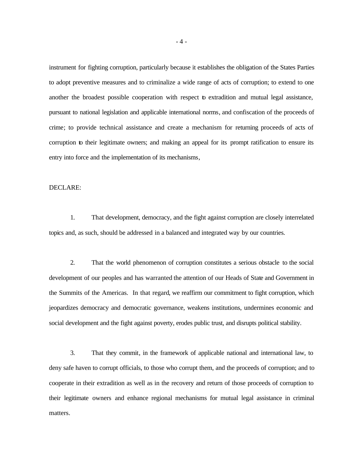instrument for fighting corruption, particularly because it establishes the obligation of the States Parties to adopt preventive measures and to criminalize a wide range of acts of corruption; to extend to one another the broadest possible cooperation with respect to extradition and mutual legal assistance, pursuant to national legislation and applicable international norms, and confiscation of the proceeds of crime; to provide technical assistance and create a mechanism for returning proceeds of acts of corruption to their legitimate owners; and making an appeal for its prompt ratification to ensure its entry into force and the implementation of its mechanisms,

## DECLARE:

1. That development, democracy, and the fight against corruption are closely interrelated topics and, as such, should be addressed in a balanced and integrated way by our countries.

2. That the world phenomenon of corruption constitutes a serious obstacle to the social development of our peoples and has warranted the attention of our Heads of State and Government in the Summits of the Americas. In that regard, we reaffirm our commitment to fight corruption, which jeopardizes democracy and democratic governance, weakens institutions, undermines economic and social development and the fight against poverty, erodes public trust, and disrupts political stability.

3. That they commit, in the framework of applicable national and international law, to deny safe haven to corrupt officials, to those who corrupt them, and the proceeds of corruption; and to cooperate in their extradition as well as in the recovery and return of those proceeds of corruption to their legitimate owners and enhance regional mechanisms for mutual legal assistance in criminal matters.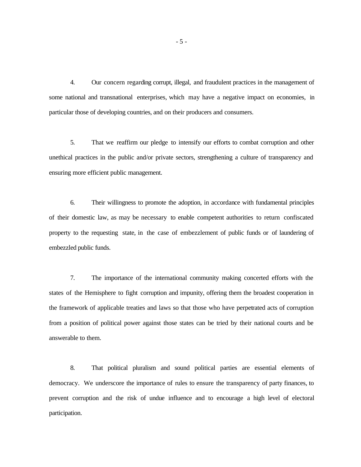4. Our concern regarding corrupt, illegal, and fraudulent practices in the management of some national and transnational enterprises, which may have a negative impact on economies, in particular those of developing countries, and on their producers and consumers.

5. That we reaffirm our pledge to intensify our efforts to combat corruption and other unethical practices in the public and/or private sectors, strengthening a culture of transparency and ensuring more efficient public management.

6. Their willingness to promote the adoption, in accordance with fundamental principles of their domestic law, as may be necessary to enable competent authorities to return confiscated property to the requesting state, in the case of embezzlement of public funds or of laundering of embezzled public funds.

7. The importance of the international community making concerted efforts with the states of the Hemisphere to fight corruption and impunity, offering them the broadest cooperation in the framework of applicable treaties and laws so that those who have perpetrated acts of corruption from a position of political power against those states can be tried by their national courts and be answerable to them.

8. That political pluralism and sound political parties are essential elements of democracy. We underscore the importance of rules to ensure the transparency of party finances, to prevent corruption and the risk of undue influence and to encourage a high level of electoral participation.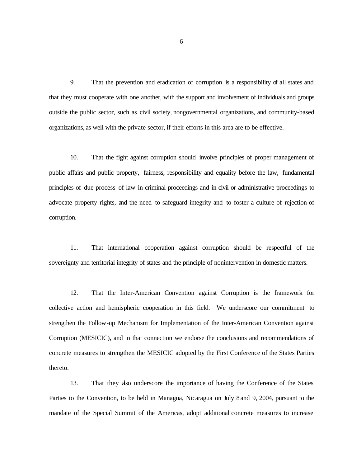9. That the prevention and eradication of corruption is a responsibility of all states and that they must cooperate with one another, with the support and involvement of individuals and groups outside the public sector, such as civil society, nongovernmental organizations, and community-based organizations, as well with the private sector, if their efforts in this area are to be effective.

10. That the fight against corruption should involve principles of proper management of public affairs and public property, fairness, responsibility and equality before the law, fundamental principles of due process of law in criminal proceedings and in civil or administrative proceedings to advocate property rights, and the need to safeguard integrity and to foster a culture of rejection of corruption.

11. That international cooperation against corruption should be respectful of the sovereignty and territorial integrity of states and the principle of nonintervention in domestic matters.

12. That the Inter-American Convention against Corruption is the framework for collective action and hemispheric cooperation in this field. We underscore our commitment to strengthen the Follow-up Mechanism for Implementation of the Inter-American Convention against Corruption (MESICIC), and in that connection we endorse the conclusions and recommendations of concrete measures to strengthen the MESICIC adopted by the First Conference of the States Parties thereto.

13. That they also underscore the importance of having the Conference of the States Parties to the Convention, to be held in Managua, Nicaragua on July 8 and 9, 2004, pursuant to the mandate of the Special Summit of the Americas, adopt additional concrete measures to increase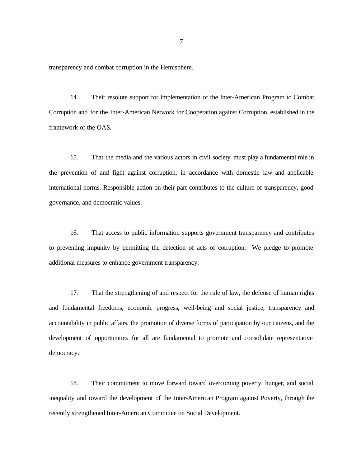transparency and combat corruption in the Hemisphere.

14. Their resolute support for implementation of the Inter-American Program to Combat Corruption and for the Inter-American Network for Cooperation against Corruption, established in the framework of the OAS.

15. That the media and the various actors in civil society must play a fundamental role in the prevention of and fight against corruption, in accordance with domestic law and applicable international norms. Responsible action on their part contributes to the culture of transparency, good governance, and democratic values.

16. That access to public information supports government transparency and contributes to preventing impunity by permitting the detection of acts of corruption. We pledge to promote additional measures to enhance government transparency.

17. That the strengthening of and respect for the rule of law, the defense of human rights and fundamental freedoms, economic progress, well-being and social justice, transparency and accountability in public affairs, the promotion of diverse forms of participation by our citizens, and the development of opportunities for all are fundamental to promote and consolidate representative democracy.

18. Their commitment to move forward toward overcoming poverty, hunger, and social inequality and toward the development of the Inter-American Program against Poverty, through the recently strengthened Inter-American Committee on Social Development.